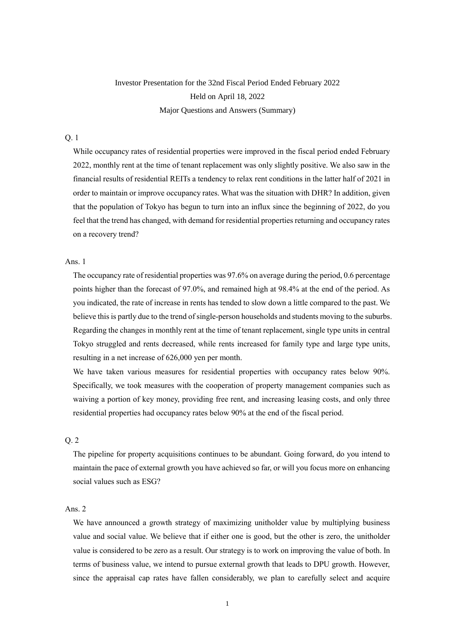# Investor Presentation for the 32nd Fiscal Period Ended February 2022 Held on April 18, 2022 Major Questions and Answers (Summary)

# Q. 1

While occupancy rates of residential properties were improved in the fiscal period ended February 2022, monthly rent at the time of tenant replacement was only slightly positive. We also saw in the financial results of residential REITs a tendency to relax rent conditions in the latter half of 2021 in order to maintain or improve occupancy rates. What was the situation with DHR? In addition, given that the population of Tokyo has begun to turn into an influx since the beginning of 2022, do you feel that the trend has changed, with demand for residential properties returning and occupancy rates on a recovery trend?

#### Ans. 1

The occupancy rate of residential properties was 97.6% on average during the period, 0.6 percentage points higher than the forecast of 97.0%, and remained high at 98.4% at the end of the period. As you indicated, the rate of increase in rents has tended to slow down a little compared to the past. We believe this is partly due to the trend of single-person households and students moving to the suburbs. Regarding the changes in monthly rent at the time of tenant replacement, single type units in central Tokyo struggled and rents decreased, while rents increased for family type and large type units, resulting in a net increase of 626,000 yen per month.

We have taken various measures for residential properties with occupancy rates below 90%. Specifically, we took measures with the cooperation of property management companies such as waiving a portion of key money, providing free rent, and increasing leasing costs, and only three residential properties had occupancy rates below 90% at the end of the fiscal period.

# Q. 2

The pipeline for property acquisitions continues to be abundant. Going forward, do you intend to maintain the pace of external growth you have achieved so far, or will you focus more on enhancing social values such as ESG?

# Ans. 2

We have announced a growth strategy of maximizing unitholder value by multiplying business value and social value. We believe that if either one is good, but the other is zero, the unitholder value is considered to be zero as a result. Our strategy is to work on improving the value of both. In terms of business value, we intend to pursue external growth that leads to DPU growth. However, since the appraisal cap rates have fallen considerably, we plan to carefully select and acquire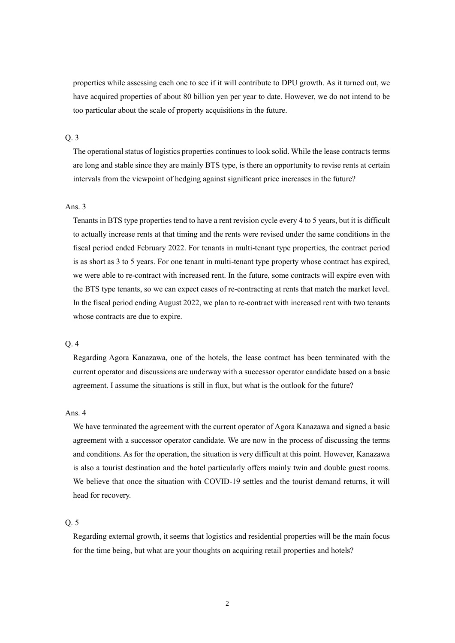properties while assessing each one to see if it will contribute to DPU growth. As it turned out, we have acquired properties of about 80 billion yen per year to date. However, we do not intend to be too particular about the scale of property acquisitions in the future.

### Q. 3

The operational status of logistics properties continues to look solid. While the lease contracts terms are long and stable since they are mainly BTS type, is there an opportunity to revise rents at certain intervals from the viewpoint of hedging against significant price increases in the future?

#### Ans. 3

Tenants in BTS type properties tend to have a rent revision cycle every 4 to 5 years, but it is difficult to actually increase rents at that timing and the rents were revised under the same conditions in the fiscal period ended February 2022. For tenants in multi-tenant type properties, the contract period is as short as 3 to 5 years. For one tenant in multi-tenant type property whose contract has expired, we were able to re-contract with increased rent. In the future, some contracts will expire even with the BTS type tenants, so we can expect cases of re-contracting at rents that match the market level. In the fiscal period ending August 2022, we plan to re-contract with increased rent with two tenants whose contracts are due to expire.

#### Q. 4

Regarding Agora Kanazawa, one of the hotels, the lease contract has been terminated with the current operator and discussions are underway with a successor operator candidate based on a basic agreement. I assume the situations is still in flux, but what is the outlook for the future?

#### Ans. 4

We have terminated the agreement with the current operator of Agora Kanazawa and signed a basic agreement with a successor operator candidate. We are now in the process of discussing the terms and conditions. As for the operation, the situation is very difficult at this point. However, Kanazawa is also a tourist destination and the hotel particularly offers mainly twin and double guest rooms. We believe that once the situation with COVID-19 settles and the tourist demand returns, it will head for recovery.

#### Q. 5

Regarding external growth, it seems that logistics and residential properties will be the main focus for the time being, but what are your thoughts on acquiring retail properties and hotels?